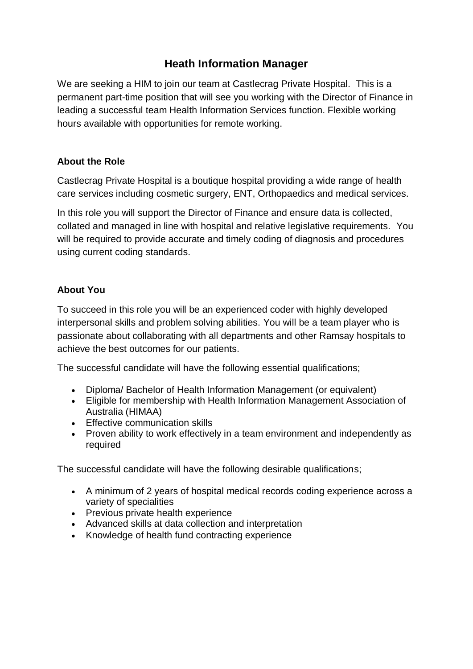# **Heath Information Manager**

We are seeking a HIM to join our team at Castlecrag Private Hospital. This is a permanent part-time position that will see you working with the Director of Finance in leading a successful team Health Information Services function. Flexible working hours available with opportunities for remote working.

## **About the Role**

Castlecrag Private Hospital is a boutique hospital providing a wide range of health care services including cosmetic surgery, ENT, Orthopaedics and medical services.

In this role you will support the Director of Finance and ensure data is collected, collated and managed in line with hospital and relative legislative requirements. You will be required to provide accurate and timely coding of diagnosis and procedures using current coding standards.

## **About You**

To succeed in this role you will be an experienced coder with highly developed interpersonal skills and problem solving abilities. You will be a team player who is passionate about collaborating with all departments and other Ramsay hospitals to achieve the best outcomes for our patients.

The successful candidate will have the following essential qualifications;

- Diploma/ Bachelor of Health Information Management (or equivalent)
- Eligible for membership with Health Information Management Association of Australia (HIMAA)
- Effective communication skills
- Proven ability to work effectively in a team environment and independently as required

The successful candidate will have the following desirable qualifications;

- A minimum of 2 years of hospital medical records coding experience across a variety of specialities
- Previous private health experience
- Advanced skills at data collection and interpretation
- Knowledge of health fund contracting experience